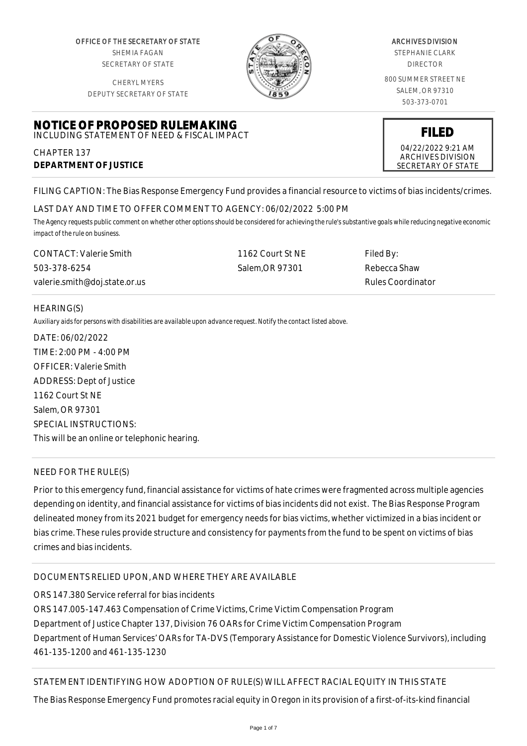OFFICE OF THE SECRETARY OF STATE SHEMIA FAGAN SECRETARY OF STATE

CHERYL MYERS DEPUTY SECRETARY OF STATE



#### ARCHIVES DIVISION

STEPHANIE CLARK DIRECTOR

800 SUMMER STREET NE SALEM, OR 97310 503-373-0701

> **FILED** 04/22/2022 9:21 AM ARCHIVES DIVISION SECRETARY OF STATE

# **NOTICE OF PROPOSED RULEMAKING** INCLUDING STATEMENT OF NEED & FISCAL IMPACT

CHAPTER 137 **DEPARTMENT OF JUSTICE**

FILING CAPTION: The Bias Response Emergency Fund provides a financial resource to victims of bias incidents/crimes.

# LAST DAY AND TIME TO OFFER COMMENT TO AGENCY: 06/02/2022 5:00 PM

*The Agency requests public comment on whether other options should be considered for achieving the rule's substantive goals while reducing negative economic impact of the rule on business.*

| <b>CONTACT:</b> Valerie Smith | 1162 Court St NE | Filed By:         |
|-------------------------------|------------------|-------------------|
| 503-378-6254                  | Salem.OR 97301   | Rebecca Shaw      |
| valerie.smith@doj.state.or.us |                  | Rules Coordinator |

# HEARING(S)

*Auxiliary aids for persons with disabilities are available upon advance request. Notify the contact listed above.*

DATE: 06/02/2022 TIME: 2:00 PM - 4:00 PM OFFICER: Valerie Smith ADDRESS: Dept of Justice 1162 Court St NE Salem, OR 97301 SPECIAL INSTRUCTIONS: This will be an online or telephonic hearing.

# NEED FOR THE RULE(S)

Prior to this emergency fund, financial assistance for victims of hate crimes were fragmented across multiple agencies depending on identity, and financial assistance for victims of bias incidents did not exist. The Bias Response Program delineated money from its 2021 budget for emergency needs for bias victims, whether victimized in a bias incident or bias crime. These rules provide structure and consistency for payments from the fund to be spent on victims of bias crimes and bias incidents.

# DOCUMENTS RELIED UPON, AND WHERE THEY ARE AVAILABLE

ORS 147.380 Service referral for bias incidents

ORS 147.005-147.463 Compensation of Crime Victims, Crime Victim Compensation Program Department of Justice Chapter 137, Division 76 OARs for Crime Victim Compensation Program Department of Human Services' OARs for TA-DVS (Temporary Assistance for Domestic Violence Survivors), including 461-135-1200 and 461-135-1230

# STATEMENT IDENTIFYING HOW ADOPTION OF RULE(S) WILL AFFECT RACIAL EQUITY IN THIS STATE

The Bias Response Emergency Fund promotes racial equity in Oregon in its provision of a first-of-its-kind financial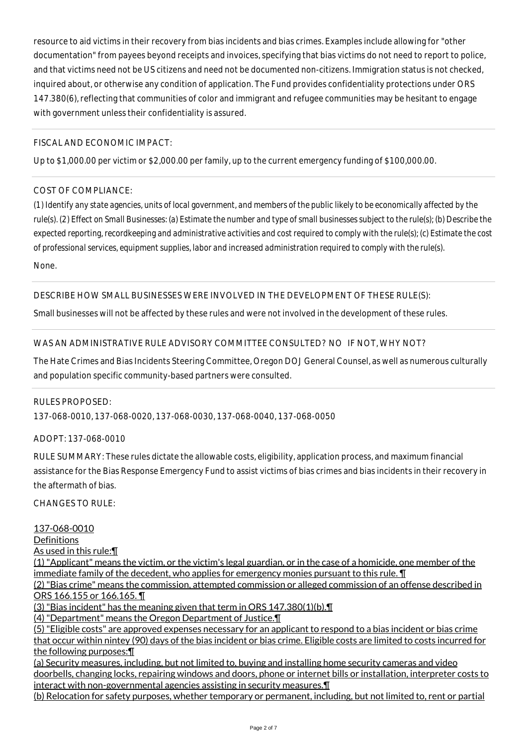resource to aid victims in their recovery from bias incidents and bias crimes. Examples include allowing for "other documentation" from payees beyond receipts and invoices, specifying that bias victims do not need to report to police, and that victims need not be US citizens and need not be documented non-citizens. Immigration status is not checked, inquired about, or otherwise any condition of application. The Fund provides confidentiality protections under ORS 147.380(6), reflecting that communities of color and immigrant and refugee communities may be hesitant to engage with government unless their confidentiality is assured.

## FISCAL AND ECONOMIC IMPACT:

Up to \$1,000.00 per victim or \$2,000.00 per family, up to the current emergency funding of \$100,000.00.

# COST OF COMPLIANCE:

*(1) Identify any state agencies, units of local government, and members of the public likely to be economically affected by the rule(s). (2) Effect on Small Businesses: (a) Estimate the number and type of small businesses subject to the rule(s); (b) Describe the expected reporting, recordkeeping and administrative activities and cost required to comply with the rule(s); (c) Estimate the cost of professional services, equipment supplies, labor and increased administration required to comply with the rule(s).*

None.

## DESCRIBE HOW SMALL BUSINESSES WERE INVOLVED IN THE DEVELOPMENT OF THESE RULE(S):

Small businesses will not be affected by these rules and were not involved in the development of these rules.

## WAS AN ADMINISTRATIVE RULE ADVISORY COMMITTEE CONSULTED? NO IF NOT, WHY NOT?

The Hate Crimes and Bias Incidents Steering Committee, Oregon DOJ General Counsel, as well as numerous culturally and population specific community-based partners were consulted.

#### RULES PROPOSED:

137-068-0010, 137-068-0020, 137-068-0030, 137-068-0040, 137-068-0050

ADOPT: 137-068-0010

RULE SUMMARY: These rules dictate the allowable costs, eligibility, application process, and maximum financial assistance for the Bias Response Emergency Fund to assist victims of bias crimes and bias incidents in their recovery in the aftermath of bias.

 $CHANGFS TO RIIF$ 

137-068-0010 **Definitions** As used in this rule:¶ (1) "Applicant" means the victim, or the victim's legal guardian, or in the case of a homicide, one member of the immediate family of the decedent, who applies for emergency monies pursuant to this rule. ¶ (2) "Bias crime" means the commission, attempted commission or alleged commission of an offense described in ORS 166.155 or 166.165. ¶ (3) "Bias incident" has the meaning given that term in ORS 147.380(1)(b).¶ (4) "Department" means the Oregon Department of Justice.¶ (5) "Eligible costs" are approved expenses necessary for an applicant to respond to a bias incident or bias crime that occur within nintey (90) days of the bias incident or bias crime. Eligible costs are limited to costs incurred for the following purposes:¶ (a) Security measures, including, but not limited to, buying and installing home security cameras and video doorbells, changing locks, repairing windows and doors, phone or internet bills or installation, interpreter costs to interact with non-governmental agencies assisting in security measures.¶

(b) Relocation for safety purposes, whether temporary or permanent, including, but not limited to, rent or partial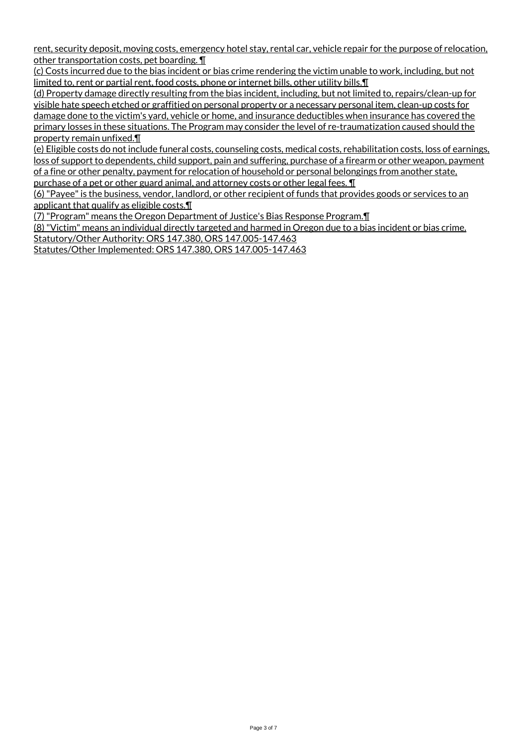rent, security deposit, moving costs, emergency hotel stay, rental car, vehicle repair for the purpose of relocation, other transportation costs, pet boarding. ¶

(c) Costs incurred due to the bias incident or bias crime rendering the victim unable to work, including, but not limited to, rent or partial rent, food costs, phone or internet bills, other utility bills. I

(d) Property damage directly resulting from the bias incident, including, but not limited to, repairs/clean-up for visible hate speech etched or graffitied on personal property or a necessary personal item, clean-up costs for damage done to the victim's yard, vehicle or home, and insurance deductibles when insurance has covered the primary losses in these situations. The Program may consider the level of re-traumatization caused should the property remain unfixed.¶

(e) Eligible costs do not include funeral costs, counseling costs, medical costs, rehabilitation costs, loss of earnings, loss of support to dependents, child support, pain and suffering, purchase of a firearm or other weapon, payment of a fine or other penalty, payment for relocation of household or personal belongings from another state, purchase of a pet or other guard animal, and attorney costs or other legal fees. ¶

(6) "Payee" is the business, vendor, landlord, or other recipient of funds that provides goods or services to an applicant that qualify as eligible costs.¶

(7) "Program" means the Oregon Department of Justice's Bias Response Program.¶ (8) "Victim" means an individual directly targeted and harmed in Oregon due to a bias incident or bias crime. Statutory/Other Authority: ORS 147.380, ORS 147.005-147.463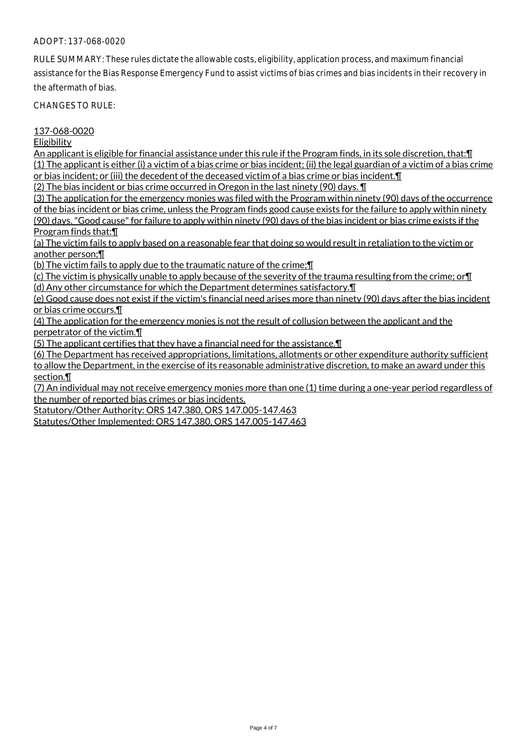RULE SUMMARY: These rules dictate the allowable costs, eligibility, application process, and maximum financial assistance for the Bias Response Emergency Fund to assist victims of bias crimes and bias incidents in their recovery in the aftermath of bias.

CHANGES TO RULE:

#### 137-068-0020

Eligibility

An applicant is eligible for financial assistance under this rule if the Program finds, in its sole discretion, that:¶ (1) The applicant is either (i) a victim of a bias crime or bias incident; (ii) the legal guardian of a victim of a bias crime or bias incident; or (iii) the decedent of the deceased victim of a bias crime or bias incident.¶

(2) The bias incident or bias crime occurred in Oregon in the last ninety (90) days. ¶

(3) The application for the emergency monies was filed with the Program within ninety (90) days of the occurrence of the bias incident or bias crime, unless the Program finds good cause exists for the failure to apply within ninety (90) days. "Good cause" for failure to apply within ninety (90) days of the bias incident or bias crime exists if the Program finds that:¶

(a) The victim fails to apply based on a reasonable fear that doing so would result in retaliation to the victim or another person;¶

(b) The victim fails to apply due to the traumatic nature of the crime;¶

(c) The victim is physically unable to apply because of the severity of the trauma resulting from the crime; or¶ (d) Any other circumstance for which the Department determines satisfactory.¶

(e) Good cause does not exist if the victim's financial need arises more than ninety (90) days after the bias incident or bias crime occurs.¶

(4) The application for the emergency monies is not the result of collusion between the applicant and the perpetrator of the victim.¶

(5) The applicant certifies that they have a financial need for the assistance.¶

(6) The Department has received appropriations, limitations, allotments or other expenditure authority sufficient to allow the Department, in the exercise of its reasonable administrative discretion, to make an award under this section.¶

(7) An individual may not receive emergency monies more than one (1) time during a one-year period regardless of the number of reported bias crimes or bias incidents.

Statutory/Other Authority: ORS 147.380, ORS 147.005-147.463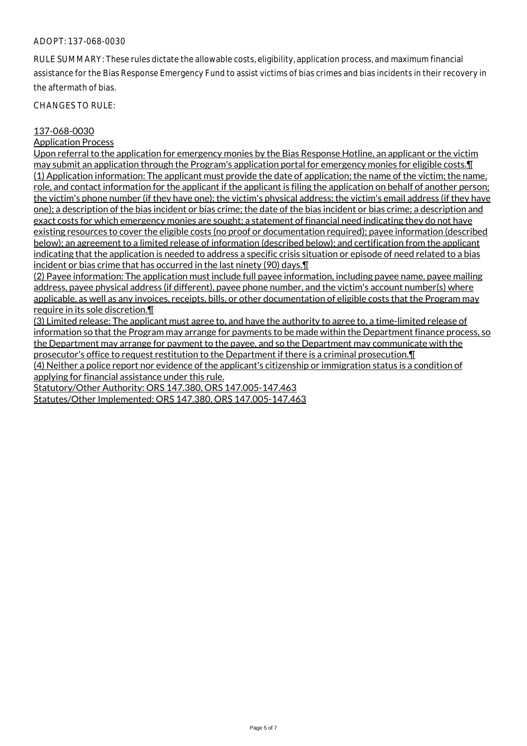RULE SUMMARY: These rules dictate the allowable costs, eligibility, application process, and maximum financial assistance for the Bias Response Emergency Fund to assist victims of bias crimes and bias incidents in their recovery in the aftermath of bias.

CHANGES TO RULE:

#### 137-068-0030

Application Process

Upon referral to the application for emergency monies by the Bias Response Hotline, an applicant or the victim may submit an application through the Program's application portal for emergency monies for eligible costs.¶ (1) Application information: The applicant must provide the date of application; the name of the victim; the name, role, and contact information for the applicant if the applicant is filing the application on behalf of another person; the victim's phone number (if they have one); the victim's physical address; the victim's email address (if they have one); a description of the bias incident or bias crime; the date of the bias incident or bias crime; a description and exact costs for which emergency monies are sought; a statement of financial need indicating they do not have existing resources to cover the eligible costs (no proof or documentation required); payee information (described below); an agreement to a limited release of information (described below); and certification from the applicant indicating that the application is needed to address a specific crisis situation or episode of need related to a bias incident or bias crime that has occurred in the last ninety (90) days.¶

(2) Payee information: The application must include full payee information, including payee name, payee mailing address, payee physical address (if different), payee phone number, and the victim's account number(s) where applicable, as well as any invoices, receipts, bills, or other documentation of eligible costs that the Program may require in its sole discretion.¶

(3) Limited release: The applicant must agree to, and have the authority to agree to, a time-limited release of information so that the Program may arrange for payments to be made within the Department finance process, so the Department may arrange for payment to the payee, and so the Department may communicate with the prosecutor's office to request restitution to the Department if there is a criminal prosecution.¶ (4) Neither a police report nor evidence of the applicant's citizenship or immigration status is a condition of applying for financial assistance under this rule.

Statutory/Other Authority: ORS 147.380, ORS 147.005-147.463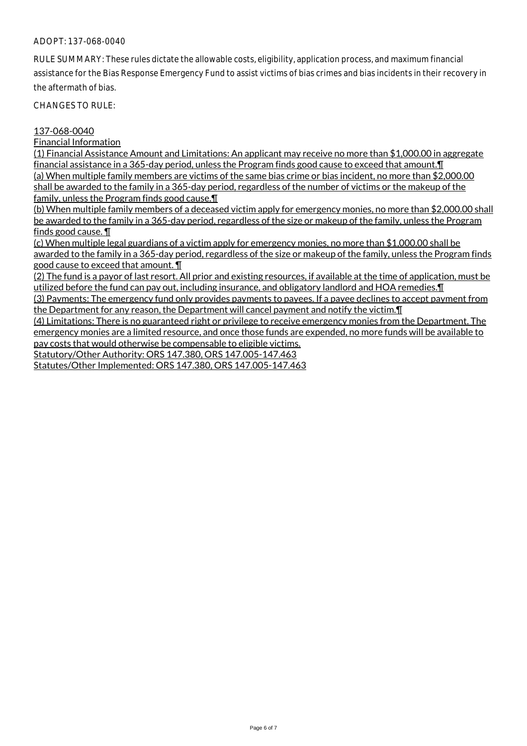RULE SUMMARY: These rules dictate the allowable costs, eligibility, application process, and maximum financial assistance for the Bias Response Emergency Fund to assist victims of bias crimes and bias incidents in their recovery in the aftermath of bias.

CHANGES TO RULE:

#### 137-068-0040

Financial Information

(1) Financial Assistance Amount and Limitations: An applicant may receive no more than \$1,000.00 in aggregate financial assistance in a 365-day period, unless the Program finds good cause to exceed that amount. I (a) When multiple family members are victims of the same bias crime or bias incident, no more than \$2,000.00 shall be awarded to the family in a 365-day period, regardless of the number of victims or the makeup of the family, unless the Program finds good cause.¶

(b) When multiple family members of a deceased victim apply for emergency monies, no more than \$2,000.00 shall be awarded to the family in a 365-day period, regardless of the size or makeup of the family, unless the Program finds good cause. ¶

(c) When multiple legal guardians of a victim apply for emergency monies, no more than \$1,000.00 shall be awarded to the family in a 365-day period, regardless of the size or makeup of the family, unless the Program finds good cause to exceed that amount. ¶

(2) The fund is a payor of last resort. All prior and existing resources, if available at the time of application, must be utilized before the fund can pay out, including insurance, and obligatory landlord and HOA remedies.¶

(3) Payments: The emergency fund only provides payments to payees. If a payee declines to accept payment from the Department for any reason, the Department will cancel payment and notify the victim. I

(4) Limitations: There is no guaranteed right or privilege to receive emergency monies from the Department. The emergency monies are a limited resource, and once those funds are expended, no more funds will be available to pay costs that would otherwise be compensable to eligible victims.

Statutory/Other Authority: ORS 147.380, ORS 147.005-147.463